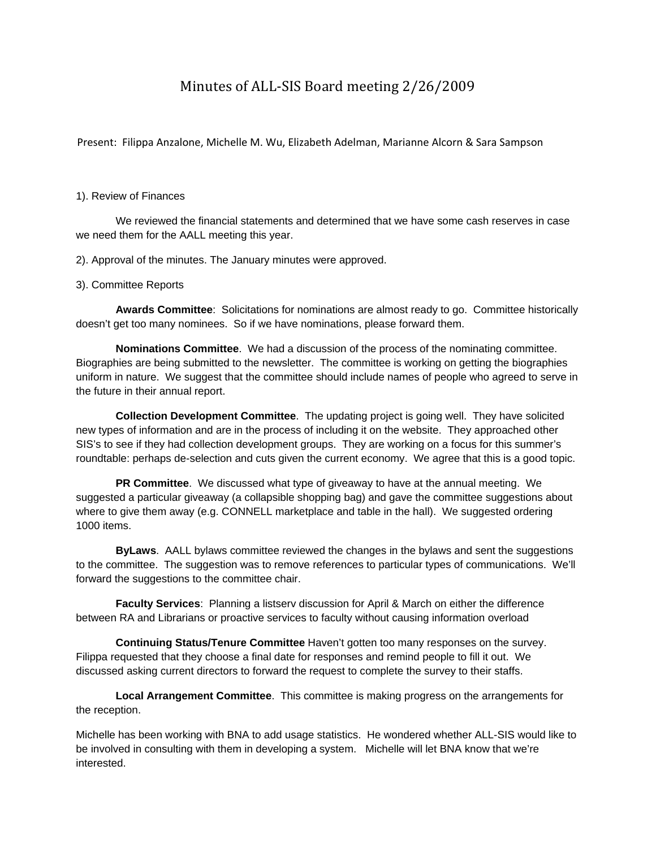## Minutes of ALL‐SIS Board meeting 2/26/2009

Present: Filippa Anzalone, Michelle M. Wu, Elizabeth Adelman, Marianne Alcorn & Sara Sampson

## 1). Review of Finances

 We reviewed the financial statements and determined that we have some cash reserves in case we need them for the AALL meeting this year.

2). Approval of the minutes. The January minutes were approved.

## 3). Committee Reports

 **Awards Committee**: Solicitations for nominations are almost ready to go. Committee historically doesn't get too many nominees. So if we have nominations, please forward them.

 **Nominations Committee**. We had a discussion of the process of the nominating committee. Biographies are being submitted to the newsletter. The committee is working on getting the biographies uniform in nature. We suggest that the committee should include names of people who agreed to serve in the future in their annual report.

 **Collection Development Committee**. The updating project is going well. They have solicited new types of information and are in the process of including it on the website. They approached other SIS's to see if they had collection development groups. They are working on a focus for this summer's roundtable: perhaps de-selection and cuts given the current economy. We agree that this is a good topic.

 **PR Committee**. We discussed what type of giveaway to have at the annual meeting. We suggested a particular giveaway (a collapsible shopping bag) and gave the committee suggestions about where to give them away (e.g. CONNELL marketplace and table in the hall). We suggested ordering 1000 items.

 **ByLaws**. AALL bylaws committee reviewed the changes in the bylaws and sent the suggestions to the committee. The suggestion was to remove references to particular types of communications. We'll forward the suggestions to the committee chair.

 **Faculty Services**: Planning a listserv discussion for April & March on either the difference between RA and Librarians or proactive services to faculty without causing information overload

 **Continuing Status/Tenure Committee** Haven't gotten too many responses on the survey. Filippa requested that they choose a final date for responses and remind people to fill it out. We discussed asking current directors to forward the request to complete the survey to their staffs.

 **Local Arrangement Committee**. This committee is making progress on the arrangements for the reception.

Michelle has been working with BNA to add usage statistics. He wondered whether ALL-SIS would like to be involved in consulting with them in developing a system. Michelle will let BNA know that we're interested.